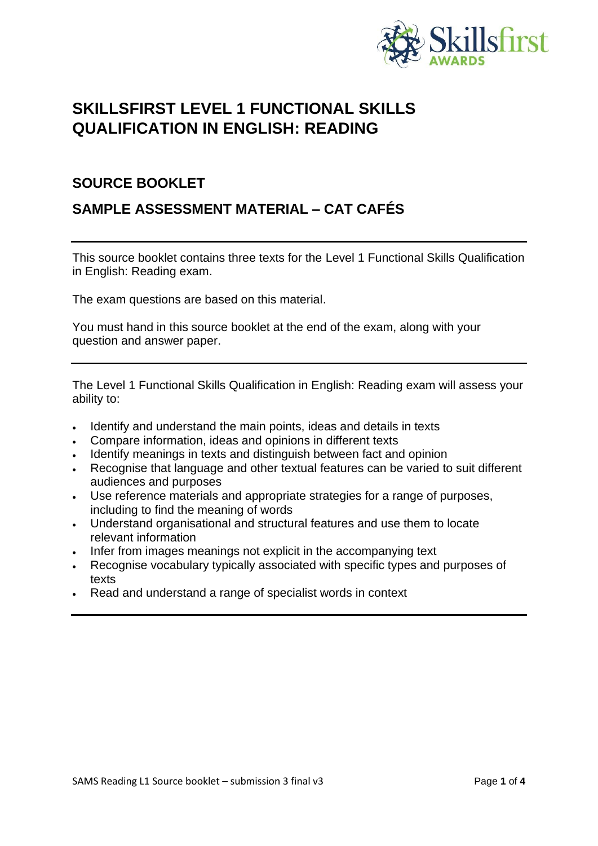

# **SKILLSFIRST LEVEL 1 FUNCTIONAL SKILLS QUALIFICATION IN ENGLISH: READING**

# **SOURCE BOOKLET**

# **SAMPLE ASSESSMENT MATERIAL – CAT CAFÉS**

This source booklet contains three texts for the Level 1 Functional Skills Qualification in English: Reading exam.

The exam questions are based on this material.

You must hand in this source booklet at the end of the exam, along with your question and answer paper.

The Level 1 Functional Skills Qualification in English: Reading exam will assess your ability to:

- Identify and understand the main points, ideas and details in texts
- Compare information, ideas and opinions in different texts
- Identify meanings in texts and distinguish between fact and opinion
- Recognise that language and other textual features can be varied to suit different audiences and purposes
- Use reference materials and appropriate strategies for a range of purposes, including to find the meaning of words
- Understand organisational and structural features and use them to locate relevant information
- Infer from images meanings not explicit in the accompanying text
- Recognise vocabulary typically associated with specific types and purposes of texts
- Read and understand a range of specialist words in context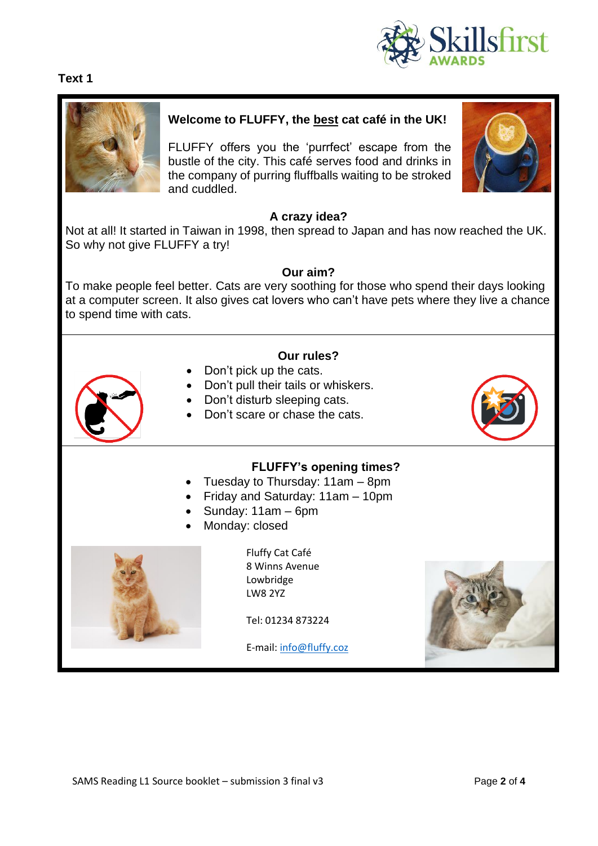



#### **Welcome to FLUFFY, the best cat café in the UK!**

FLUFFY offers you the 'purrfect' escape from the bustle of the city. This café serves food and drinks in the company of purring fluffballs waiting to be stroked and cuddled.



#### **A crazy idea?**

Not at all! It started in Taiwan in 1998, then spread to Japan and has now reached the UK. So why not give FLUFFY a try!

#### **Our aim?**

To make people feel better. Cats are very soothing for those who spend their days looking at a computer screen. It also gives cat lovers who can't have pets where they live a chance to spend time with cats.

#### **Our rules?**

- Don't pick up the cats.
- Don't pull their tails or whiskers.
- Don't disturb sleeping cats.
- Don't scare or chase the cats.



#### **FLUFFY's opening times?**

- Tuesday to Thursday: 11am 8pm
- Friday and Saturday: 11am 10pm
- Sunday: 11am 6pm
- Monday: closed



Fluffy Cat Café 8 Winns Avenue Lowbridge LW8 2YZ

Tel: 01234 873224

E-mail[: info@fluffy.coz](mailto:info@fluffy.coz)

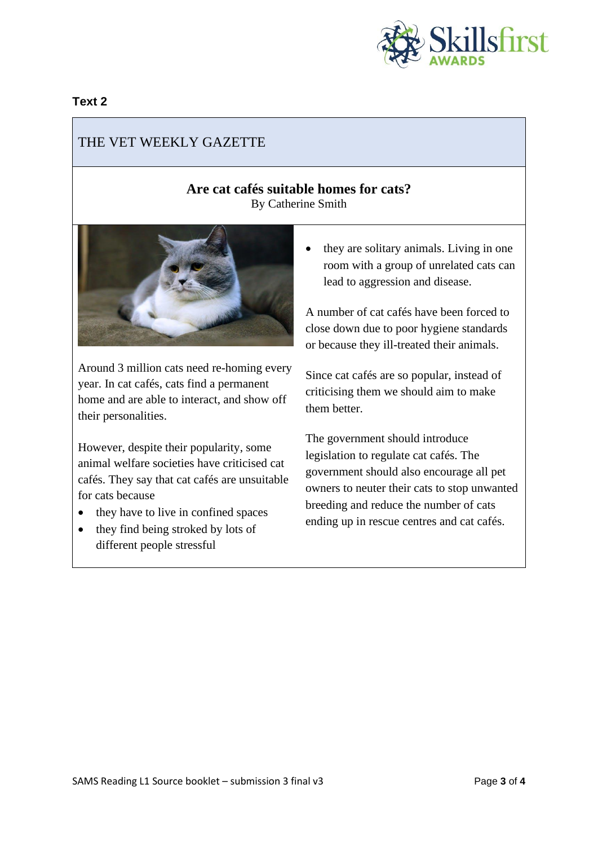

#### **Text 2**

# THE VET WEEKLY GAZETTE

### **Are cat cafés suitable homes for cats?** By Catherine Smith



Around 3 million cats need re-homing every year. In cat cafés, cats find a permanent home and are able to interact, and show off their personalities.

However, despite their popularity, some animal welfare societies have criticised cat cafés. They say that cat cafés are unsuitable for cats because

- they have to live in confined spaces
- they find being stroked by lots of different people stressful

• they are solitary animals. Living in one room with a group of unrelated cats can lead to aggression and disease.

A number of cat cafés have been forced to close down due to poor hygiene standards or because they ill-treated their animals.

Since cat cafés are so popular, instead of criticising them we should aim to make them better.

The government should introduce legislation to regulate cat cafés. The government should also encourage all pet owners to neuter their cats to stop unwanted breeding and reduce the number of cats ending up in rescue centres and cat cafés.